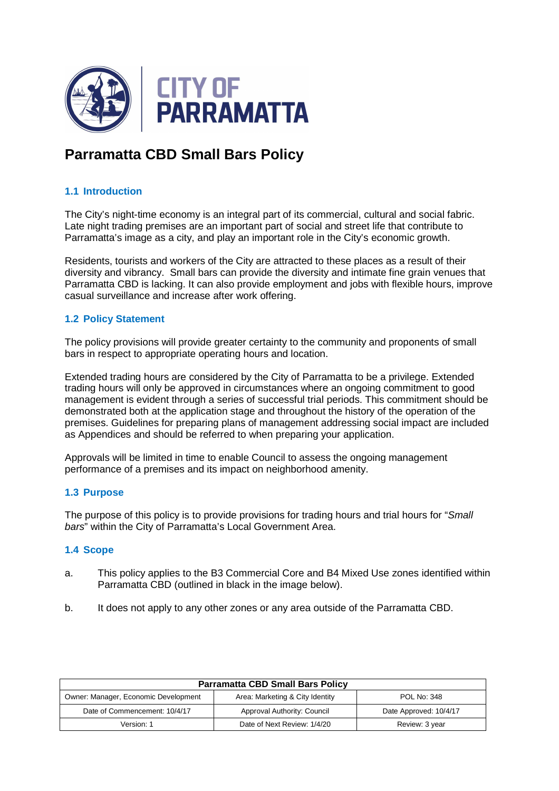

# **Parramatta CBD Small Bars Policy**

# **1.1 Introduction**

The City's night-time economy is an integral part of its commercial, cultural and social fabric. Late night trading premises are an important part of social and street life that contribute to Parramatta's image as a city, and play an important role in the City's economic growth.

Residents, tourists and workers of the City are attracted to these places as a result of their diversity and vibrancy. Small bars can provide the diversity and intimate fine grain venues that Parramatta CBD is lacking. It can also provide employment and jobs with flexible hours, improve casual surveillance and increase after work offering.

#### **1.2 Policy Statement**

The policy provisions will provide greater certainty to the community and proponents of small bars in respect to appropriate operating hours and location.

Extended trading hours are considered by the City of Parramatta to be a privilege. Extended trading hours will only be approved in circumstances where an ongoing commitment to good management is evident through a series of successful trial periods. This commitment should be demonstrated both at the application stage and throughout the history of the operation of the premises. Guidelines for preparing plans of management addressing social impact are included as Appendices and should be referred to when preparing your application.

Approvals will be limited in time to enable Council to assess the ongoing management performance of a premises and its impact on neighborhood amenity.

#### **1.3 Purpose**

The purpose of this policy is to provide provisions for trading hours and trial hours for "Small" bars" within the City of Parramatta's Local Government Area.

# **1.4 Scope**

- a. This policy applies to the B3 Commercial Core and B4 Mixed Use zones identified within Parramatta CBD (outlined in black in the image below).
- b. It does not apply to any other zones or any area outside of the Parramatta CBD.

| <b>Parramatta CBD Small Bars Policy</b> |                                 |                        |
|-----------------------------------------|---------------------------------|------------------------|
| Owner: Manager, Economic Development    | Area: Marketing & City Identity | <b>POL No: 348</b>     |
| Date of Commencement: 10/4/17           | Approval Authority: Council     | Date Approved: 10/4/17 |
| Version: 1                              | Date of Next Review: 1/4/20     | Review: 3 year         |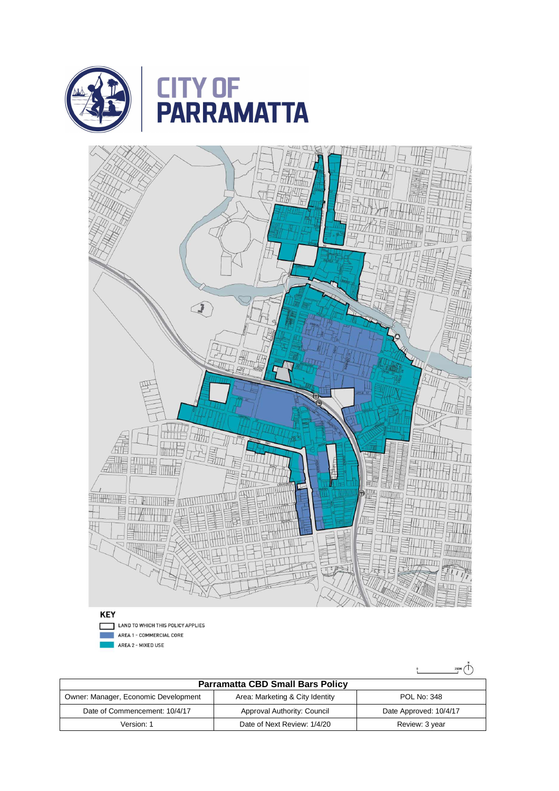



**KEY** LAND TO WHICH THIS POLICY APPLIES г

AREA 1 - COMMERCIAL CORE

AREA 2 - MIXED USE

 $\sum_{250M}^{N}$ 

| <b>Parramatta CBD Small Bars Policy</b> |                                 |                        |
|-----------------------------------------|---------------------------------|------------------------|
| Owner: Manager, Economic Development    | Area: Marketing & City Identity | <b>POL No: 348</b>     |
| Date of Commencement: 10/4/17           | Approval Authority: Council     | Date Approved: 10/4/17 |
| Version: 1                              | Date of Next Review: 1/4/20     | Review: 3 year         |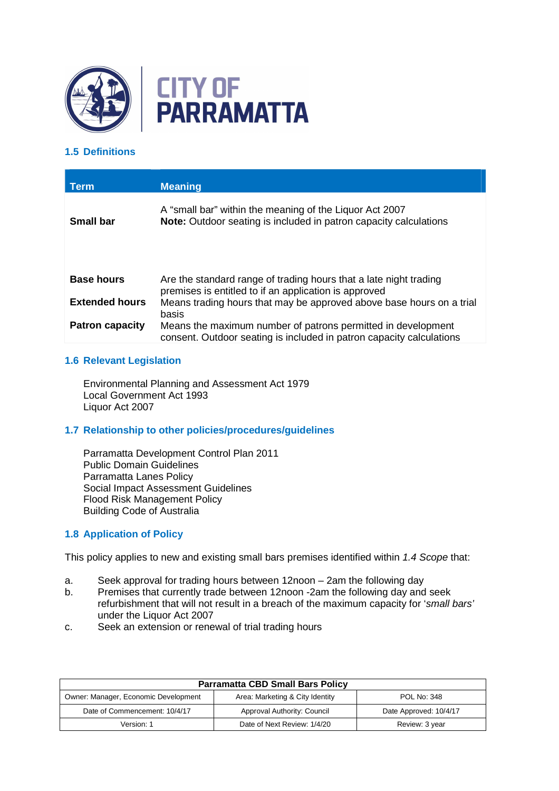



# **1.5 Definitions**

| <b>Term</b>            | <b>Meaning</b>                                                                                                                       |
|------------------------|--------------------------------------------------------------------------------------------------------------------------------------|
| <b>Small bar</b>       | A "small bar" within the meaning of the Liquor Act 2007<br>Note: Outdoor seating is included in patron capacity calculations         |
|                        |                                                                                                                                      |
| <b>Base hours</b>      | Are the standard range of trading hours that a late night trading<br>premises is entitled to if an application is approved           |
| <b>Extended hours</b>  | Means trading hours that may be approved above base hours on a trial<br>basis                                                        |
| <b>Patron capacity</b> | Means the maximum number of patrons permitted in development<br>consent. Outdoor seating is included in patron capacity calculations |

# **1.6 Relevant Legislation**

Environmental Planning and Assessment Act 1979 Local Government Act 1993 Liquor Act 2007

# **1.7 Relationship to other policies/procedures/guidelines**

Parramatta Development Control Plan 2011 Public Domain Guidelines Parramatta Lanes Policy Social Impact Assessment Guidelines Flood Risk Management Policy Building Code of Australia

# **1.8 Application of Policy**

This policy applies to new and existing small bars premises identified within 1.4 Scope that:

- a. Seek approval for trading hours between 12noon 2am the following day
- b. Premises that currently trade between 12noon -2am the following day and seek refurbishment that will not result in a breach of the maximum capacity for 'small bars' under the Liquor Act 2007
- c. Seek an extension or renewal of trial trading hours

| <b>Parramatta CBD Small Bars Policy</b> |                                 |                        |
|-----------------------------------------|---------------------------------|------------------------|
| Owner: Manager, Economic Development    | Area: Marketing & City Identity | <b>POL No: 348</b>     |
| Date of Commencement: 10/4/17           | Approval Authority: Council     | Date Approved: 10/4/17 |
| Version: 1                              | Date of Next Review: 1/4/20     | Review: 3 year         |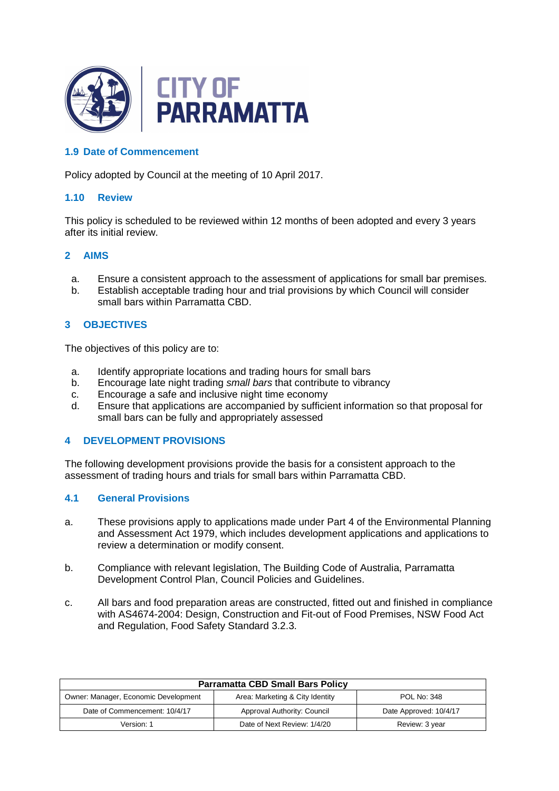

# **1.9 Date of Commencement**

Policy adopted by Council at the meeting of 10 April 2017.

#### **1.10 Review**

This policy is scheduled to be reviewed within 12 months of been adopted and every 3 years after its initial review.

#### **2 AIMS**

- a. Ensure a consistent approach to the assessment of applications for small bar premises.
- b. Establish acceptable trading hour and trial provisions by which Council will consider small bars within Parramatta CBD.

#### **3 OBJECTIVES**

The objectives of this policy are to:

- a. Identify appropriate locations and trading hours for small bars
- b. Encourage late night trading small bars that contribute to vibrancy
- c. Encourage a safe and inclusive night time economy
- d. Ensure that applications are accompanied by sufficient information so that proposal for small bars can be fully and appropriately assessed

#### **4 DEVELOPMENT PROVISIONS**

The following development provisions provide the basis for a consistent approach to the assessment of trading hours and trials for small bars within Parramatta CBD.

#### **4.1 General Provisions**

- a. These provisions apply to applications made under Part 4 of the Environmental Planning and Assessment Act 1979, which includes development applications and applications to review a determination or modify consent.
- b. Compliance with relevant legislation, The Building Code of Australia, Parramatta Development Control Plan, Council Policies and Guidelines.
- c. All bars and food preparation areas are constructed, fitted out and finished in compliance with AS4674-2004: Design, Construction and Fit-out of Food Premises, NSW Food Act and Regulation, Food Safety Standard 3.2.3.

| <b>Parramatta CBD Small Bars Policy</b> |                                 |                        |
|-----------------------------------------|---------------------------------|------------------------|
| Owner: Manager, Economic Development    | Area: Marketing & City Identity | <b>POL No: 348</b>     |
| Date of Commencement: 10/4/17           | Approval Authority: Council     | Date Approved: 10/4/17 |
| Version: 1                              | Date of Next Review: 1/4/20     | Review: 3 year         |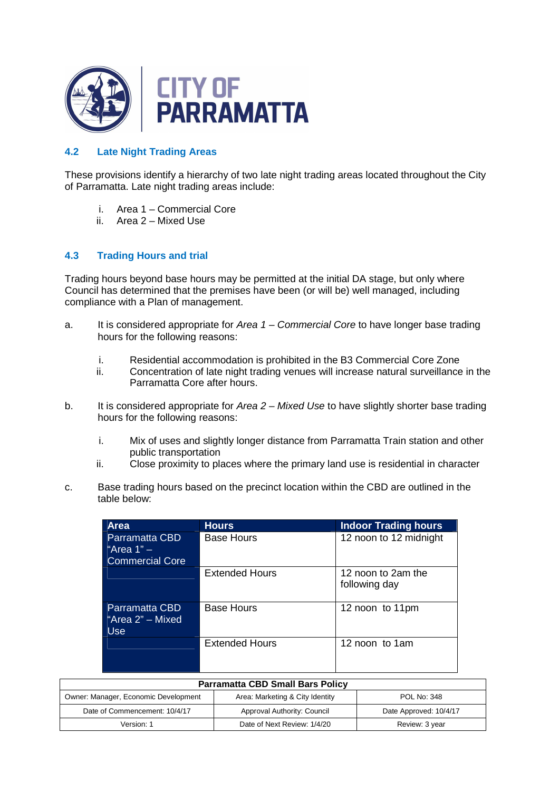

# **4.2 Late Night Trading Areas**

These provisions identify a hierarchy of two late night trading areas located throughout the City of Parramatta. Late night trading areas include:

- i. Area 1 Commercial Core
- ii. Area 2 Mixed Use

# **4.3 Trading Hours and trial**

Trading hours beyond base hours may be permitted at the initial DA stage, but only where Council has determined that the premises have been (or will be) well managed, including compliance with a Plan of management.

- a. It is considered appropriate for Area  $1$  Commercial Core to have longer base trading hours for the following reasons:
	- i. Residential accommodation is prohibited in the B3 Commercial Core Zone
	- ii. Concentration of late night trading venues will increase natural surveillance in the Parramatta Core after hours.
- b. It is considered appropriate for Area  $2 -$  Mixed Use to have slightly shorter base trading hours for the following reasons:
	- i. Mix of uses and slightly longer distance from Parramatta Train station and other public transportation
	- ii. Close proximity to places where the primary land use is residential in character
- c. Base trading hours based on the precinct location within the CBD are outlined in the table below:

| <b>Area</b>                                              | <b>Hours</b>          | <b>Indoor Trading hours</b>         |
|----------------------------------------------------------|-----------------------|-------------------------------------|
| Parramatta CBD<br>"Area $1" -$<br><b>Commercial Core</b> | <b>Base Hours</b>     | 12 noon to 12 midnight              |
|                                                          | <b>Extended Hours</b> | 12 noon to 2am the<br>following day |
| Parramatta CBD<br>"Area 2" - Mixed<br>Use.               | <b>Base Hours</b>     | 12 noon to 11pm                     |
|                                                          | <b>Extended Hours</b> | 12 noon to 1am                      |

| <b>Parramatta CBD Small Bars Policy</b> |                                 |                        |
|-----------------------------------------|---------------------------------|------------------------|
| Owner: Manager, Economic Development    | Area: Marketing & City Identity | <b>POL No: 348</b>     |
| Date of Commencement: 10/4/17           | Approval Authority: Council     | Date Approved: 10/4/17 |
| Version: 1                              | Date of Next Review: 1/4/20     | Review: 3 year         |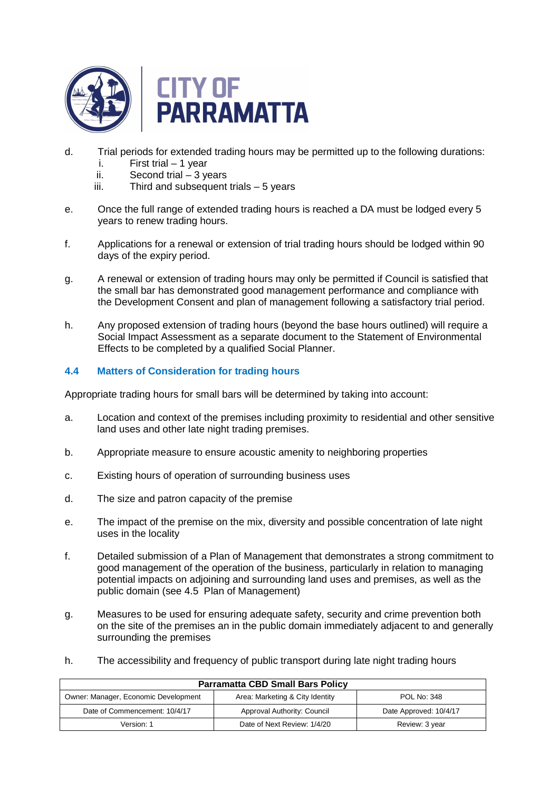

- d. Trial periods for extended trading hours may be permitted up to the following durations:
	- i. First trial 1 year
	- ii. Second trial 3 years
	- iii. Third and subsequent trials 5 years
- e. Once the full range of extended trading hours is reached a DA must be lodged every 5 years to renew trading hours.
- f. Applications for a renewal or extension of trial trading hours should be lodged within 90 days of the expiry period.
- g. A renewal or extension of trading hours may only be permitted if Council is satisfied that the small bar has demonstrated good management performance and compliance with the Development Consent and plan of management following a satisfactory trial period.
- h. Any proposed extension of trading hours (beyond the base hours outlined) will require a Social Impact Assessment as a separate document to the Statement of Environmental Effects to be completed by a qualified Social Planner.

# **4.4 Matters of Consideration for trading hours**

Appropriate trading hours for small bars will be determined by taking into account:

- a. Location and context of the premises including proximity to residential and other sensitive land uses and other late night trading premises.
- b. Appropriate measure to ensure acoustic amenity to neighboring properties
- c. Existing hours of operation of surrounding business uses
- d. The size and patron capacity of the premise
- e. The impact of the premise on the mix, diversity and possible concentration of late night uses in the locality
- f. Detailed submission of a Plan of Management that demonstrates a strong commitment to good management of the operation of the business, particularly in relation to managing potential impacts on adjoining and surrounding land uses and premises, as well as the public domain (see 4.5 Plan of Management)
- g. Measures to be used for ensuring adequate safety, security and crime prevention both on the site of the premises an in the public domain immediately adjacent to and generally surrounding the premises
- h. The accessibility and frequency of public transport during late night trading hours

| <b>Parramatta CBD Small Bars Policy</b> |                                 |                        |  |
|-----------------------------------------|---------------------------------|------------------------|--|
| Owner: Manager, Economic Development    | Area: Marketing & City Identity | <b>POL No: 348</b>     |  |
| Date of Commencement: 10/4/17           | Approval Authority: Council     | Date Approved: 10/4/17 |  |
| Version: 1                              | Date of Next Review: 1/4/20     | Review: 3 year         |  |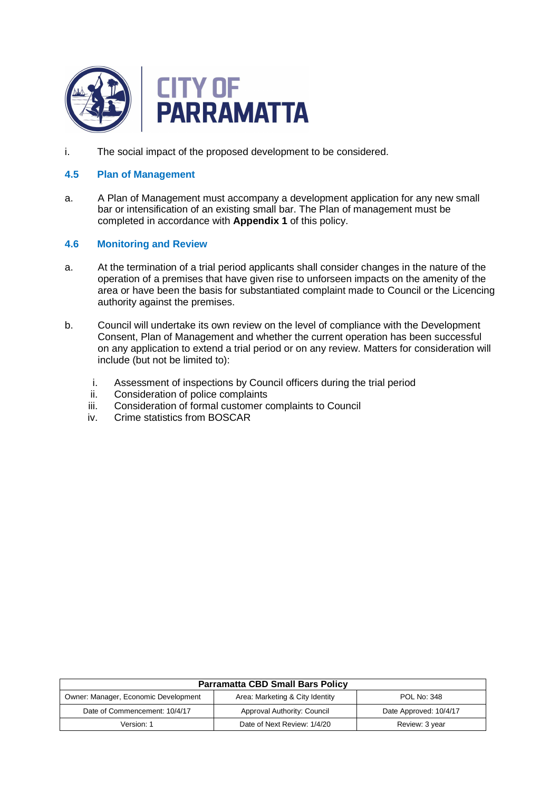

i. The social impact of the proposed development to be considered.

### **4.5 Plan of Management**

a. A Plan of Management must accompany a development application for any new small bar or intensification of an existing small bar. The Plan of management must be completed in accordance with **Appendix 1** of this policy.

#### **4.6 Monitoring and Review**

- a. At the termination of a trial period applicants shall consider changes in the nature of the operation of a premises that have given rise to unforseen impacts on the amenity of the area or have been the basis for substantiated complaint made to Council or the Licencing authority against the premises.
- b. Council will undertake its own review on the level of compliance with the Development Consent, Plan of Management and whether the current operation has been successful on any application to extend a trial period or on any review. Matters for consideration will include (but not be limited to):
	- i. Assessment of inspections by Council officers during the trial period
	- ii. Consideration of police complaints
	- iii. Consideration of formal customer complaints to Council
	- iv. Crime statistics from BOSCAR

| <b>Parramatta CBD Small Bars Policy</b> |                                 |                        |
|-----------------------------------------|---------------------------------|------------------------|
| Owner: Manager, Economic Development    | Area: Marketing & City Identity | <b>POL No: 348</b>     |
| Date of Commencement: 10/4/17           | Approval Authority: Council     | Date Approved: 10/4/17 |
| Version: 1                              | Date of Next Review: 1/4/20     | Review: 3 year         |